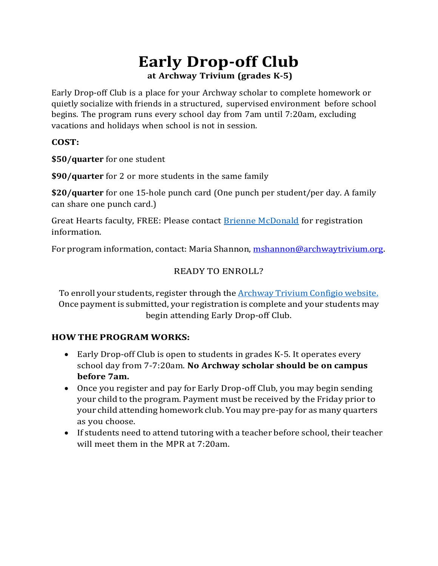# **Early Drop-off Club at Archway Trivium (grades K-5)**

Early Drop-off Club is a place for your Archway scholar to complete homework or quietly socialize with friends in a structured, supervised environment before school begins. The program runs every school day from 7am until 7:20am, excluding vacations and holidays when school is not in session.

#### **COST:**

**\$50/quarter** for one student

**\$90/quarter** for 2 or more students in the same family

**\$20/quarter** for one 15-hole punch card (One punch per student/per day. A family can share one punch card.)

Great Hearts faculty, FREE: Please contact [Brienne McDonald f](mailto:bmcdonald@archwaytrivium.org)or registration information.

For program information, contact: Maria Shannon, [mshannon@archwaytrivium.org.](mailto:mshannon@archwaytrivium.org)

#### READY TO ENROLL?

To enroll your students, register through the [Archway Trivium Configio website.](https://archwaytrivium.configio.com/ShoppingCart.aspx?com=productlist&cid=390&srch=t)  Once payment is submitted, your registration is complete and your students may begin attending Early Drop-off Club.

#### **HOW THE PROGRAM WORKS:**

- Early Drop-off Club is open to students in grades K-5. It operates every school day from 7-7:20am. **No Archway scholar should be on campus before 7am.**
- Once you register and pay for Early Drop-off Club, you may begin sending your child to the program. Payment must be received by the Friday prior to your child attending homework club. You may pre-pay for as many quarters as you choose.
- If students need to attend tutoring with a teacher before school, their teacher will meet them in the MPR at 7:20am.